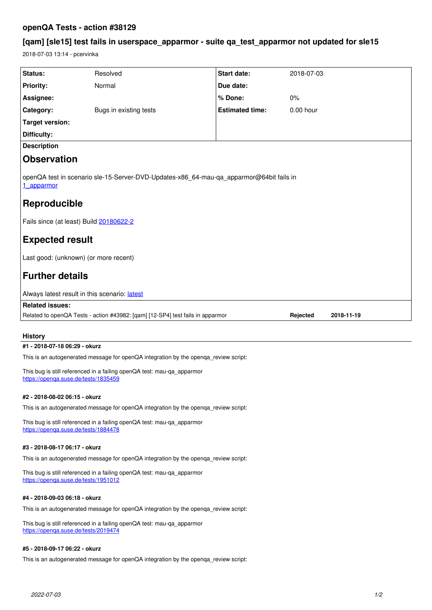# **openQA Tests - action #38129**

# **[qam] [sle15] test fails in userspace\_apparmor - suite qa\_test\_apparmor not updated for sle15**

2018-07-03 13:14 - pcervinka

| Status:<br><b>Priority:</b>                                                                           | Resolved               |                                 | 2018-07-03  |            |
|-------------------------------------------------------------------------------------------------------|------------------------|---------------------------------|-------------|------------|
|                                                                                                       | Normal                 | <b>Start date:</b><br>Due date: |             |            |
|                                                                                                       |                        |                                 |             |            |
| Assignee:                                                                                             |                        | % Done:                         | 0%          |            |
| Category:                                                                                             | Bugs in existing tests | <b>Estimated time:</b>          | $0.00$ hour |            |
| <b>Target version:</b>                                                                                |                        |                                 |             |            |
| Difficulty:                                                                                           |                        |                                 |             |            |
| <b>Description</b>                                                                                    |                        |                                 |             |            |
| <b>Observation</b>                                                                                    |                        |                                 |             |            |
| openQA test in scenario sle-15-Server-DVD-Updates-x86_64-mau-qa_apparmor@64bit fails in<br>1 apparmor |                        |                                 |             |            |
| Reproducible                                                                                          |                        |                                 |             |            |
| Fails since (at least) Build 20180622-2                                                               |                        |                                 |             |            |
| <b>Expected result</b>                                                                                |                        |                                 |             |            |
| Last good: (unknown) (or more recent)                                                                 |                        |                                 |             |            |
| <b>Further details</b>                                                                                |                        |                                 |             |            |
| Always latest result in this scenario: latest                                                         |                        |                                 |             |            |
| <b>Related issues:</b>                                                                                |                        |                                 |             |            |
| Related to openQA Tests - action #43982: [qam] [12-SP4] test fails in apparmor                        |                        |                                 | Rejected    | 2018-11-19 |

# **History**

# **#1 - 2018-07-18 06:29 - okurz**

This is an autogenerated message for openQA integration by the openqa\_review script:

This bug is still referenced in a failing openQA test: mau-qa\_apparmor <https://openqa.suse.de/tests/1835459>

# **#2 - 2018-08-02 06:15 - okurz**

This is an autogenerated message for openQA integration by the openqa\_review script:

This bug is still referenced in a failing openQA test: mau-qa\_apparmor <https://openqa.suse.de/tests/1884478>

# **#3 - 2018-08-17 06:17 - okurz**

This is an autogenerated message for openQA integration by the openqa\_review script:

This bug is still referenced in a failing openQA test: mau-qa\_apparmor <https://openqa.suse.de/tests/1951012>

## **#4 - 2018-09-03 06:18 - okurz**

This is an autogenerated message for openQA integration by the openqa\_review script:

This bug is still referenced in a failing openQA test: mau-qa\_apparmor <https://openqa.suse.de/tests/2019474>

#### **#5 - 2018-09-17 06:22 - okurz**

This is an autogenerated message for openQA integration by the openqa\_review script: